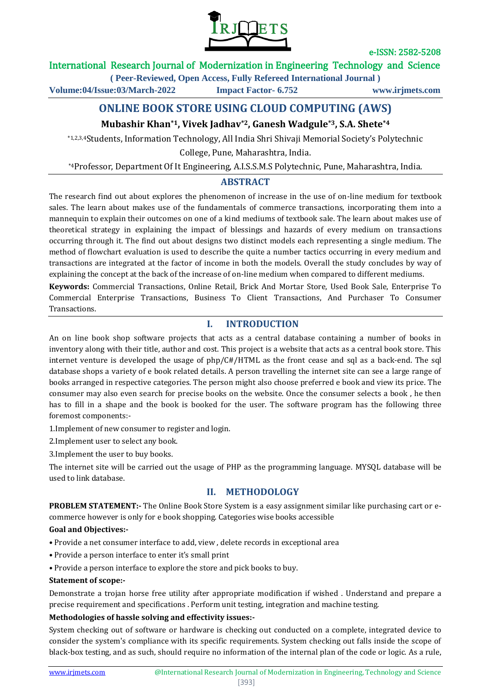

# International Research Journal of Modernization in Engineering Technology and Science

**( Peer-Reviewed, Open Access, Fully Refereed International Journal ) Volume:04/Issue:03/March-2022 Impact Factor- 6.752 www.irjmets.com**

# **ONLINE BOOK STORE USING CLOUD COMPUTING (AWS)**

# **Mubashir Khan\*1, Vivek Jadhav\*2, Ganesh Wadgule\*3, S.A. Shete\*4**

\*1,2,3,4Students, Information Technology, All India Shri Shivaji Memorial Society's Polytechnic College, Pune, Maharashtra, India.

\*4Professor, Department Of It Engineering, A.I.S.S.M.S Polytechnic, Pune, Maharashtra, India.

## **ABSTRACT**

The research find out about explores the phenomenon of increase in the use of on-line medium for textbook sales. The learn about makes use of the fundamentals of commerce transactions, incorporating them into a mannequin to explain their outcomes on one of a kind mediums of textbook sale. The learn about makes use of theoretical strategy in explaining the impact of blessings and hazards of every medium on transactions occurring through it. The find out about designs two distinct models each representing a single medium. The method of flowchart evaluation is used to describe the quite a number tactics occurring in every medium and transactions are integrated at the factor of income in both the models. Overall the study concludes by way of explaining the concept at the back of the increase of on-line medium when compared to different mediums.

**Keywords:** Commercial Transactions, Online Retail, Brick And Mortar Store, Used Book Sale, Enterprise To Commercial Enterprise Transactions, Business To Client Transactions, And Purchaser To Consumer Transactions.

## **I. INTRODUCTION**

An on line book shop software projects that acts as a central database containing a number of books in inventory along with their title, author and cost. This project is a website that acts as a central book store. This internet venture is developed the usage of php/C#/HTML as the front cease and sql as a back-end. The sql database shops a variety of e book related details. A person travelling the internet site can see a large range of books arranged in respective categories. The person might also choose preferred e book and view its price. The consumer may also even search for precise books on the website. Once the consumer selects a book , he then has to fill in a shape and the book is booked for the user. The software program has the following three foremost components:-

1.Implement of new consumer to register and login.

2.Implement user to select any book.

3.Implement the user to buy books.

The internet site will be carried out the usage of PHP as the programming language. MYSQL database will be used to link database.

# **II. METHODOLOGY**

**PROBLEM STATEMENT:-** The Online Book Store System is a easy assignment similar like purchasing cart or ecommerce however is only for e book shopping. Categories wise books accessible

### **Goal and Objectives:-**

- **•** Provide a net consumer interface to add, view , delete records in exceptional area
- Provide a person interface to enter it's small print
- Provide a person interface to explore the store and pick books to buy.

### **Statement of scope:-**

Demonstrate a trojan horse free utility after appropriate modification if wished . Understand and prepare a precise requirement and specifications . Perform unit testing, integration and machine testing.

### **Methodologies of hassle solving and effectivity issues:-**

System checking out of software or hardware is checking out conducted on a complete, integrated device to consider the system's compliance with its specific requirements. System checking out falls inside the scope of black-box testing, and as such, should require no information of the internal plan of the code or logic. As a rule,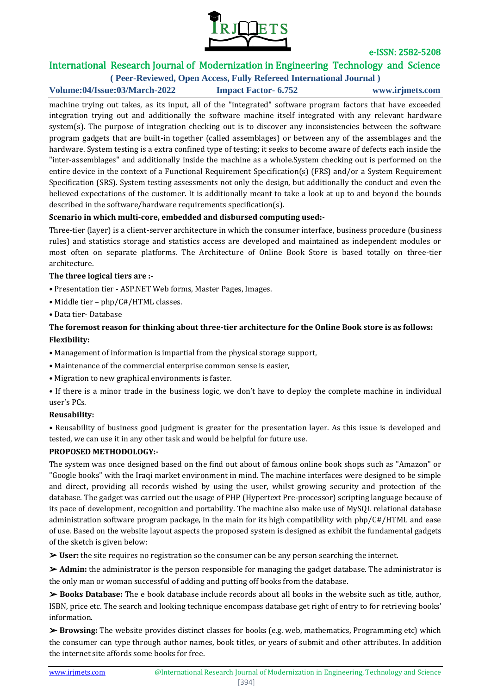

# International Research Journal of Modernization in Engineering Technology and Science

**( Peer-Reviewed, Open Access, Fully Refereed International Journal ) Volume:04/Issue:03/March-2022 Impact Factor- 6.752 www.irjmets.com**

machine trying out takes, as its input, all of the "integrated" software program factors that have exceeded integration trying out and additionally the software machine itself integrated with any relevant hardware system(s). The purpose of integration checking out is to discover any inconsistencies between the software program gadgets that are built-in together (called assemblages) or between any of the assemblages and the hardware. System testing is a extra confined type of testing; it seeks to become aware of defects each inside the "inter-assemblages" and additionally inside the machine as a whole.System checking out is performed on the entire device in the context of a Functional Requirement Specification(s) (FRS) and/or a System Requirement Specification (SRS). System testing assessments not only the design, but additionally the conduct and even the believed expectations of the customer. It is additionally meant to take a look at up to and beyond the bounds described in the software/hardware requirements specification(s).

### **Scenario in which multi-core, embedded and disbursed computing used:-**

Three-tier (layer) is a client-server architecture in which the consumer interface, business procedure (business rules) and statistics storage and statistics access are developed and maintained as independent modules or most often on separate platforms. The Architecture of Online Book Store is based totally on three-tier architecture.

### **The three logical tiers are :-**

- Presentation tier ASP.NET Web forms, Master Pages, Images.
- Middle tier php/C#/HTML classes.
- Data tier- Database

## **The foremost reason for thinking about three-tier architecture for the Online Book store is as follows: Flexibility:**

- Management of information is impartial from the physical storage support,
- Maintenance of the commercial enterprise common sense is easier,
- Migration to new graphical environments is faster.
- If there is a minor trade in the business logic, we don't have to deploy the complete machine in individual user's PCs.

### **Reusability:**

**•** Reusability of business good judgment is greater for the presentation layer. As this issue is developed and tested, we can use it in any other task and would be helpful for future use.

### **PROPOSED METHODOLOGY:-**

The system was once designed based on the find out about of famous online book shops such as "Amazon" or "Google books" with the Iraqi market environment in mind. The machine interfaces were designed to be simple and direct, providing all records wished by using the user, whilst growing security and protection of the database. The gadget was carried out the usage of PHP (Hypertext Pre-processor) scripting language because of its pace of development, recognition and portability. The machine also make use of MySQL relational database administration software program package, in the main for its high compatibility with php/C#/HTML and ease of use. Based on the website layout aspects the proposed system is designed as exhibit the fundamental gadgets of the sketch is given below:

➢ **User:** the site requires no registration so the consumer can be any person searching the internet.

➢ **Admin:** the administrator is the person responsible for managing the gadget database. The administrator is the only man or woman successful of adding and putting off books from the database.

➢ **Books Database:** The e book database include records about all books in the website such as title, author, ISBN, price etc. The search and looking technique encompass database get right of entry to for retrieving books' information.

➢ **Browsing:** The website provides distinct classes for books (e.g. web, mathematics, Programming etc) which the consumer can type through author names, book titles, or years of submit and other attributes. In addition the internet site affords some books for free.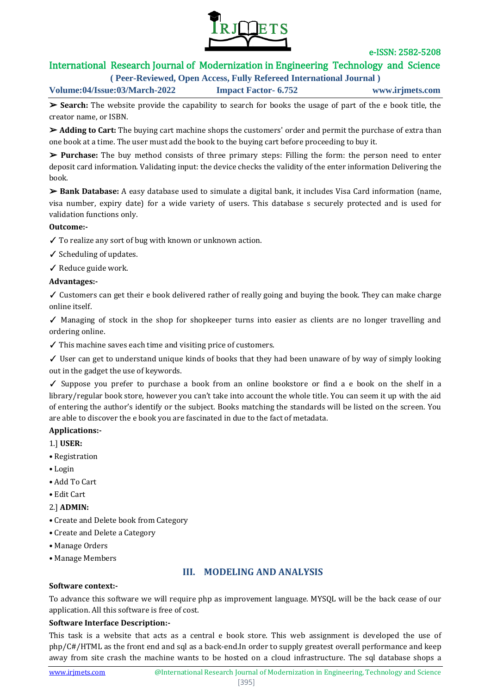

# International Research Journal of Modernization in Engineering Technology and Science

**( Peer-Reviewed, Open Access, Fully Refereed International Journal )**

**Volume:04/Issue:03/March-2022 Impact Factor- 6.752 www.irjmets.com**

➢ **Search:** The website provide the capability to search for books the usage of part of the e book title, the creator name, or ISBN.

➢ **Adding to Cart:** The buying cart machine shops the customers' order and permit the purchase of extra than one book at a time. The user must add the book to the buying cart before proceeding to buy it.

➢ **Purchase:** The buy method consists of three primary steps: Filling the form: the person need to enter deposit card information. Validating input: the device checks the validity of the enter information Delivering the book.

➢ **Bank Database:** A easy database used to simulate a digital bank, it includes Visa Card information (name, visa number, expiry date) for a wide variety of users. This database s securely protected and is used for validation functions only.

### **Outcome:-**

✓ To realize any sort of bug with known or unknown action.

✓ Scheduling of updates.

✓ Reduce guide work.

### **Advantages:-**

✓ Customers can get their e book delivered rather of really going and buying the book. They can make charge online itself.

✓ Managing of stock in the shop for shopkeeper turns into easier as clients are no longer travelling and ordering online.

✓ This machine saves each time and visiting price of customers.

 $\checkmark$  User can get to understand unique kinds of books that they had been unaware of by way of simply looking out in the gadget the use of keywords.

✓ Suppose you prefer to purchase a book from an online bookstore or find a e book on the shelf in a library/regular book store, however you can't take into account the whole title. You can seem it up with the aid of entering the author's identify or the subject. Books matching the standards will be listed on the screen. You are able to discover the e book you are fascinated in due to the fact of metadata.

## **Applications:-**

- 1.] **USER:**
- Registration
- Login
- Add To Cart
- Edit Cart
- 2.] **ADMIN:**
- Create and Delete book from Category
- Create and Delete a Category
- Manage Orders
- Manage Members

# **III. MODELING AND ANALYSIS**

### **Software context:-**

To advance this software we will require php as improvement language. MYSQL will be the back cease of our application. All this software is free of cost.

### **Software Interface Description:-**

This task is a website that acts as a central e book store. This web assignment is developed the use of php/C#/HTML as the front end and sql as a back-end.In order to supply greatest overall performance and keep away from site crash the machine wants to be hosted on a cloud infrastructure. The sql database shops a

#### [395]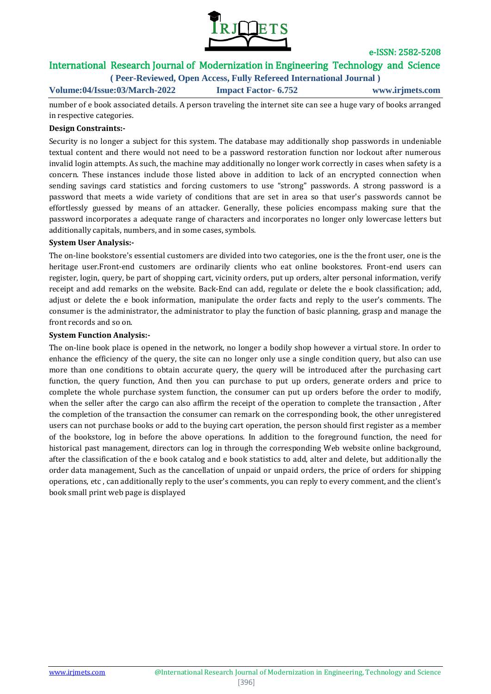

# International Research Journal of Modernization in Engineering Technology and Science

**( Peer-Reviewed, Open Access, Fully Refereed International Journal )**

**Volume:04/Issue:03/March-2022 Impact Factor- 6.752 www.irjmets.com**

number of e book associated details. A person traveling the internet site can see a huge vary of books arranged in respective categories.

### **Design Constraints:-**

Security is no longer a subject for this system. The database may additionally shop passwords in undeniable textual content and there would not need to be a password restoration function nor lockout after numerous invalid login attempts. As such, the machine may additionally no longer work correctly in cases when safety is a concern. These instances include those listed above in addition to lack of an encrypted connection when sending savings card statistics and forcing customers to use "strong" passwords. A strong password is a password that meets a wide variety of conditions that are set in area so that user's passwords cannot be effortlessly guessed by means of an attacker. Generally, these policies encompass making sure that the password incorporates a adequate range of characters and incorporates no longer only lowercase letters but additionally capitals, numbers, and in some cases, symbols.

### **System User Analysis:-**

The on-line bookstore's essential customers are divided into two categories, one is the the front user, one is the heritage user.Front-end customers are ordinarily clients who eat online bookstores. Front-end users can register, login, query, be part of shopping cart, vicinity orders, put up orders, alter personal information, verify receipt and add remarks on the website. Back-End can add, regulate or delete the e book classification; add, adjust or delete the e book information, manipulate the order facts and reply to the user's comments. The consumer is the administrator, the administrator to play the function of basic planning, grasp and manage the front records and so on.

#### **System Function Analysis:-**

The on-line book place is opened in the network, no longer a bodily shop however a virtual store. In order to enhance the efficiency of the query, the site can no longer only use a single condition query, but also can use more than one conditions to obtain accurate query, the query will be introduced after the purchasing cart function, the query function, And then you can purchase to put up orders, generate orders and price to complete the whole purchase system function, the consumer can put up orders before the order to modify, when the seller after the cargo can also affirm the receipt of the operation to complete the transaction , After the completion of the transaction the consumer can remark on the corresponding book, the other unregistered users can not purchase books or add to the buying cart operation, the person should first register as a member of the bookstore, log in before the above operations. In addition to the foreground function, the need for historical past management, directors can log in through the corresponding Web website online background, after the classification of the e book catalog and e book statistics to add, alter and delete, but additionally the order data management, Such as the cancellation of unpaid or unpaid orders, the price of orders for shipping operations, etc , can additionally reply to the user's comments, you can reply to every comment, and the client's book small print web page is displayed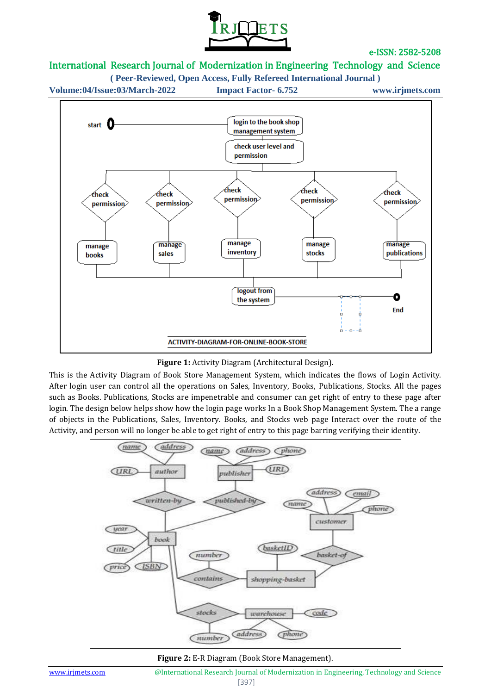

# International Research Journal of Modernization in Engineering Technology and Science

**( Peer-Reviewed, Open Access, Fully Refereed International Journal )**

**Volume:04/Issue:03/March-2022 Impact Factor- 6.752 www.irjmets.com**



**Figure 1:** Activity Diagram (Architectural Design).

This is the Activity Diagram of Book Store Management System, which indicates the flows of Login Activity. After login user can control all the operations on Sales, Inventory, Books, Publications, Stocks. All the pages such as Books. Publications, Stocks are impenetrable and consumer can get right of entry to these page after login. The design below helps show how the login page works In a Book Shop Management System. The a range of objects in the Publications, Sales, Inventory. Books, and Stocks web page Interact over the route of the Activity, and person will no longer be able to get right of entry to this page barring verifying their identity.



**Figure 2:** E-R Diagram (Book Store Management).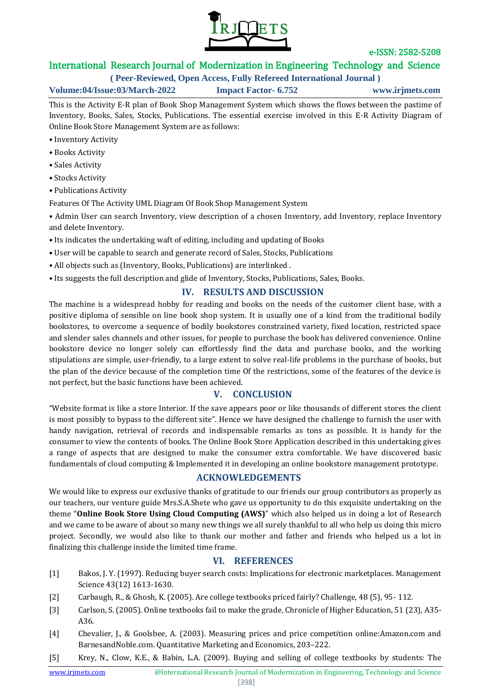

# International Research Journal of Modernization in Engineering Technology and Science

**( Peer-Reviewed, Open Access, Fully Refereed International Journal )**

**Volume:04/Issue:03/March-2022 Impact Factor- 6.752 www.irjmets.com**

This is the Activity E-R plan of Book Shop Management System which shows the flows between the pastime of Inventory, Books, Sales, Stocks, Publications. The essential exercise involved in this E-R Activity Diagram of Online Book Store Management System are as follows:

- Inventory Activity
- Books Activity
- Sales Activity
- Stocks Activity
- Publications Activity
- Features Of The Activity UML Diagram Of Book Shop Management System

• Admin User can search Inventory, view description of a chosen Inventory, add Inventory, replace Inventory and delete Inventory.

- Its indicates the undertaking waft of editing, including and updating of Books
- User will be capable to search and generate record of Sales, Stocks, Publications
- All objects such as (Inventory, Books, Publications) are interlinked .
- Its suggests the full description and glide of Inventory, Stocks, Publications, Sales, Books.

# **IV. RESULTS AND DISCUSSION**

The machine is a widespread hobby for reading and books on the needs of the customer client base, with a positive diploma of sensible on line book shop system. It is usually one of a kind from the traditional bodily bookstores, to overcome a sequence of bodily bookstores constrained variety, fixed location, restricted space and slender sales channels and other issues, for people to purchase the book has delivered convenience. Online bookstore device no longer solely can effortlessly find the data and purchase books, and the working stipulations are simple, user-friendly, to a large extent to solve real-life problems in the purchase of books, but the plan of the device because of the completion time Of the restrictions, some of the features of the device is not perfect, but the basic functions have been achieved.

## **V. CONCLUSION**

"Website format is like a store Interior. If the save appears poor or like thousands of different stores the client is most possibly to bypass to the different site". Hence we have designed the challenge to furnish the user with handy navigation, retrieval of records and indispensable remarks as tons as possible. It is handy for the consumer to view the contents of books. The Online Book Store Application described in this undertaking gives a range of aspects that are designed to make the consumer extra comfortable. We have discovered basic fundamentals of cloud computing & Implemented it in developing an online bookstore management prototype.

## **ACKNOWLEDGEMENTS**

We would like to express our exclusive thanks of gratitude to our friends our group contributors as properly as our teachers, our venture guide Mrs.S.A.Shete who gave us opportunity to do this exquisite undertaking on the theme "**Online Book Store Using Cloud Computing (AWS)**" which also helped us in doing a lot of Research and we came to be aware of about so many new things we all surely thankful to all who help us doing this micro project. Secondly, we would also like to thank our mother and father and friends who helped us a lot in finalizing this challenge inside the limited time frame.

## **VI. REFERENCES**

- [1] Bakos, J. Y. (1997). Reducing buyer search costs: Implications for electronic marketplaces. Management Science 43(12) 1613-1630.
- [2] Carbaugh, R., & Ghosh, K. (2005). Are college textbooks priced fairly? Challenge, 48 (5), 95- 112.
- [3] Carlson, S. (2005). Online textbooks fail to make the grade, Chronicle of Higher Education, 51 (23), A35- A36.
- [4] Chevalier, J., & Goolsbee, A. (2003). Measuring prices and price competition online:Amazon.com and BarnesandNoble.com. Quantitative Marketing and Economics, 203–222.
- [5] Krey, N., Clow, K.E., & Babin, L.A. (2009). Buying and selling of college textbooks by students: The